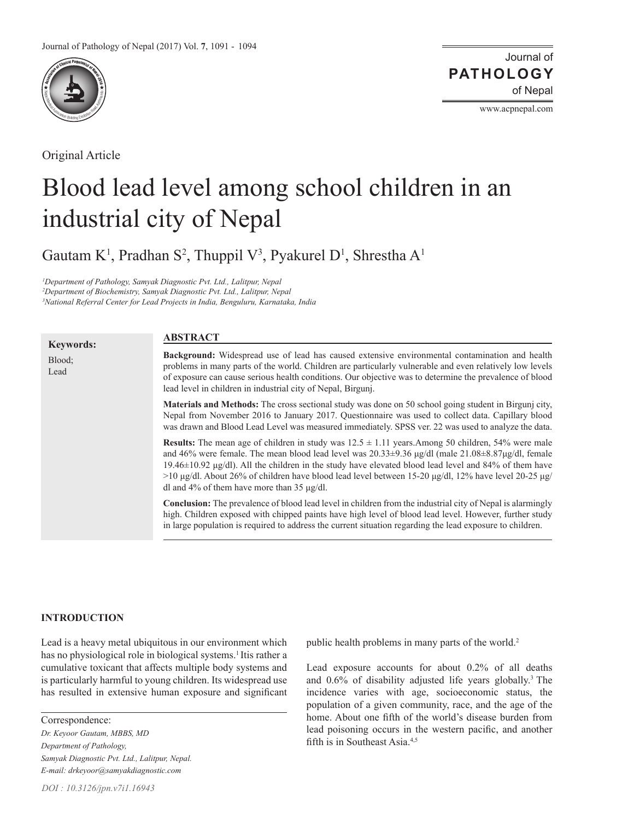

Original Article

Journal of of Nepal **PATHOLOGY**

www.acpnepal.com

# Blood lead level among school children in an industrial city of Nepal

Gautam K<sup>1</sup>, Pradhan S<sup>2</sup>, Thuppil V<sup>3</sup>, Pyakurel D<sup>1</sup>, Shrestha A<sup>1</sup>

*1 Department of Pathology, Samyak Diagnostic Pvt. Ltd., Lalitpur, Nepal 2 Department of Biochemistry, Samyak Diagnostic Pvt. Ltd., Lalitpur, Nepal 3 National Referral Center for Lead Projects in India, Benguluru, Karnataka, India*

## **ABSTRACT**

| <b>Keywords:</b> |                                                                                                                                                                                                                                                                                                                                                                                                                                                                                                                               |
|------------------|-------------------------------------------------------------------------------------------------------------------------------------------------------------------------------------------------------------------------------------------------------------------------------------------------------------------------------------------------------------------------------------------------------------------------------------------------------------------------------------------------------------------------------|
| Blood:<br>Lead   | Background: Widespread use of lead has caused extensive environmental contamination and health<br>problems in many parts of the world. Children are particularly vulnerable and even relatively low levels<br>of exposure can cause serious health conditions. Our objective was to determine the prevalence of blood<br>lead level in children in industrial city of Nepal, Birgunj.                                                                                                                                         |
|                  | <b>Materials and Methods:</b> The cross sectional study was done on 50 school going student in Birgunj city,<br>Nepal from November 2016 to January 2017. Questionnaire was used to collect data. Capillary blood<br>was drawn and Blood Lead Level was measured immediately. SPSS ver, 22 was used to analyze the data.                                                                                                                                                                                                      |
|                  | <b>Results:</b> The mean age of children in study was $12.5 \pm 1.11$ years. Among 50 children, 54% were male<br>and 46% were female. The mean blood lead level was $20.33\pm9.36$ µg/dl (male $21.08\pm8.87$ µg/dl, female<br>19.46 $\pm$ 10.92 $\mu$ g/dl). All the children in the study have elevated blood lead level and 84% of them have<br>$>10 \mu g/dl$ . About 26% of children have blood lead level between 15-20 $\mu g/dl$ , 12% have level 20-25 $\mu g/dl$<br>dl and 4% of them have more than 35 $\mu$ g/dl. |
|                  | <b>Conclusion:</b> The prevalence of blood lead level in children from the industrial city of Nepal is alarmingly<br>high. Children exposed with chipped paints have high level of blood lead level. However, further study<br>in large population is required to address the current situation regarding the lead exposure to children.                                                                                                                                                                                      |

# **INTRODUCTION**

Lead is a heavy metal ubiquitous in our environment which has no physiological role in biological systems.<sup>1</sup> Itis rather a cumulative toxicant that affects multiple body systems and is particularly harmful to young children. Its widespread use has resulted in extensive human exposure and significant

Correspondence:

*Dr. Keyoor Gautam, MBBS, MD Department of Pathology, Samyak Diagnostic Pvt. Ltd., Lalitpur, Nepal. E-mail: drkeyoor@samyakdiagnostic.com*

public health problems in many parts of the world.<sup>2</sup>

Lead exposure accounts for about 0.2% of all deaths and  $0.6\%$  of disability adjusted life years globally.<sup>3</sup> The incidence varies with age, socioeconomic status, the population of a given community, race, and the age of the home. About one fifth of the world's disease burden from lead poisoning occurs in the western pacific, and another fifth is in Southeast Asia.4,5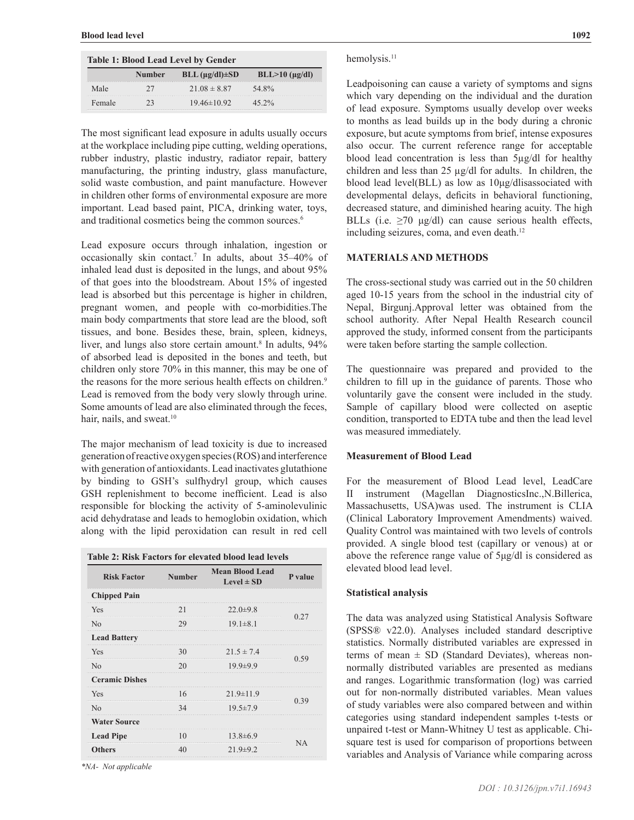| <b>Table 1: Blood Lead Level by Gender</b> |        |                              |                          |  |  |
|--------------------------------------------|--------|------------------------------|--------------------------|--|--|
|                                            | Number | $BLL$ ( $\mu$ g/dl) $\pm SD$ | $BLL > 10$ ( $\mu$ g/dl) |  |  |
| Male                                       |        | $21.08 \pm 8.87$             | 54.8%                    |  |  |
| Female                                     |        | $19.46\pm10.92$              | $45.2\%$                 |  |  |

The most significant lead exposure in adults usually occurs at the workplace including pipe cutting, welding operations, rubber industry, plastic industry, radiator repair, battery manufacturing, the printing industry, glass manufacture, solid waste combustion, and paint manufacture. However in children other forms of environmental exposure are more important. Lead based paint, PICA, drinking water, toys, and traditional cosmetics being the common sources.<sup>6</sup>

Lead exposure occurs through inhalation, ingestion or occasionally skin contact.7 In adults, about 35–40% of inhaled lead dust is deposited in the lungs, and about 95% of that goes into the bloodstream. About 15% of ingested lead is absorbed but this percentage is higher in children, pregnant women, and people with co-morbidities.The main body compartments that store lead are the blood, soft tissues, and bone. Besides these, brain, spleen, kidneys, liver, and lungs also store certain amount.<sup>8</sup> In adults, 94% of absorbed lead is deposited in the bones and teeth, but children only store 70% in this manner, this may be one of the reasons for the more serious health effects on children.<sup>9</sup> Lead is removed from the body very slowly through urine. Some amounts of lead are also eliminated through the feces, hair, nails, and sweat.<sup>10</sup>

The major mechanism of lead toxicity is due to increased generation of reactive oxygen species (ROS) and interference with generation of antioxidants. Lead inactivates glutathione by binding to GSH's sulfhydryl group, which causes GSH replenishment to become inefficient. Lead is also responsible for blocking the activity of 5-aminolevulinic acid dehydratase and leads to hemoglobin oxidation, which along with the lipid peroxidation can result in red cell

| <b>Table 2: Risk Factors for elevated blood lead levels</b> |               |                                                     |         |  |  |
|-------------------------------------------------------------|---------------|-----------------------------------------------------|---------|--|--|
| <b>Risk Factor</b>                                          | <b>Number</b> | <b>Mean Blood Lead</b><br>Level $\pm$ SD            | P value |  |  |
| <b>Chipped Pain</b>                                         |               |                                                     |         |  |  |
| <b>Yes</b>                                                  | 21            | $22.0 \pm 9.8$                                      | 0.27    |  |  |
| N <sub>0</sub>                                              | 29            | $19.1 \pm 8.1$                                      |         |  |  |
| <b>Lead Battery</b>                                         |               |                                                     |         |  |  |
| Yes                                                         | 30            | $21.5 \pm 7.4$                                      | 0.59    |  |  |
| No                                                          | 20            | $19.9 \pm 9.9$                                      |         |  |  |
| <b>Ceramic Dishes</b>                                       |               |                                                     |         |  |  |
| Yes                                                         | 16            | $21.9 \pm 11.9$                                     | 0.39    |  |  |
| N <sub>0</sub>                                              | 34            | ,,,,,,,,,,,,,,,,,,,,,,,,,,,,,,,,,<br>$19.5 \pm 7.9$ |         |  |  |
| <b>Water Source</b>                                         |               |                                                     |         |  |  |
| <b>Lead Pipe</b>                                            | 10            | $13.8 \pm 6.9$                                      | ΝA      |  |  |
| <b>Others</b>                                               | 40            | $21.9 \pm 9.2$                                      |         |  |  |

*\*NA- Not applicable*

## hemolysis.<sup>11</sup>

Leadpoisoning can cause a variety of symptoms and signs which vary depending on the individual and the duration of lead exposure. Symptoms usually develop over weeks to months as lead builds up in the body during a chronic exposure, but acute symptoms from brief, intense exposures also occur. The current reference range for acceptable blood lead concentration is less than 5µg/dl for healthy children and less than 25 µg/dl for adults. In children, the blood lead level(BLL) as low as 10μg/dlisassociated with developmental delays, deficits in behavioral functioning, decreased stature, and diminished hearing acuity. The high BLLs (i.e.  $\geq$ 70 μg/dl) can cause serious health effects, including seizures, coma, and even death.<sup>12</sup>

## **MATERIALS AND METHODS**

The cross-sectional study was carried out in the 50 children aged 10-15 years from the school in the industrial city of Nepal, Birgunj.Approval letter was obtained from the school authority. After Nepal Health Research council approved the study, informed consent from the participants were taken before starting the sample collection.

The questionnaire was prepared and provided to the children to fill up in the guidance of parents. Those who voluntarily gave the consent were included in the study. Sample of capillary blood were collected on aseptic condition, transported to EDTA tube and then the lead level was measured immediately.

## **Measurement of Blood Lead**

For the measurement of Blood Lead level, LeadCare II instrument (Magellan DiagnosticsInc.,N.Billerica, Massachusetts, USA)was used. The instrument is CLIA (Clinical Laboratory Improvement Amendments) waived. Quality Control was maintained with two levels of controls provided. A single blood test (capillary or venous) at or above the reference range value of 5μg/dl is considered as elevated blood lead level.

# **Statistical analysis**

The data was analyzed using Statistical Analysis Software (SPSS® v22.0). Analyses included standard descriptive statistics. Normally distributed variables are expressed in terms of mean  $\pm$  SD (Standard Deviates), whereas nonnormally distributed variables are presented as medians and ranges. Logarithmic transformation (log) was carried out for non-normally distributed variables. Mean values of study variables were also compared between and within categories using standard independent samples t-tests or unpaired t-test or Mann-Whitney U test as applicable. Chisquare test is used for comparison of proportions between variables and Analysis of Variance while comparing across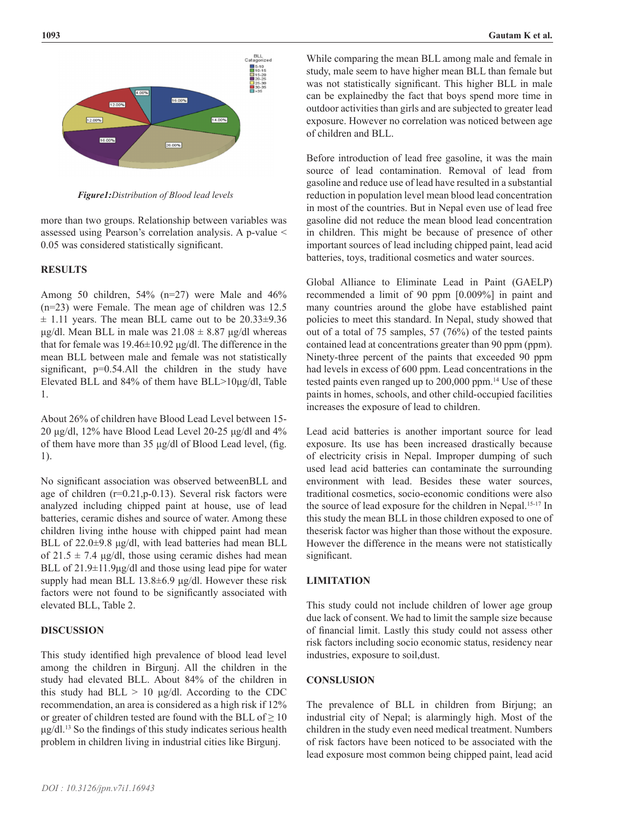

*Figure1:Distribution of Blood lead levels*

more than two groups. Relationship between variables was assessed using Pearson's correlation analysis. A p-value < 0.05 was considered statistically significant.

## **RESULTS**

Among 50 children, 54% (n=27) were Male and 46% (n=23) were Female. The mean age of children was 12.5  $\pm$  1.11 years. The mean BLL came out to be 20.33 $\pm$ 9.36 μg/dl. Mean BLL in male was  $21.08 \pm 8.87$  μg/dl whereas that for female was  $19.46\pm10.92$  μg/dl. The difference in the mean BLL between male and female was not statistically significant, p=0.54.All the children in the study have Elevated BLL and 84% of them have BLL>10μg/dl, Table 1.

About 26% of children have Blood Lead Level between 15- 20 μg/dl, 12% have Blood Lead Level 20-25 μg/dl and 4% of them have more than 35 μg/dl of Blood Lead level, (fig. 1).

No significant association was observed betweenBLL and age of children (r=0.21,p-0.13). Several risk factors were analyzed including chipped paint at house, use of lead batteries, ceramic dishes and source of water. Among these children living inthe house with chipped paint had mean BLL of 22.0±9.8 μg/dl, with lead batteries had mean BLL of  $21.5 \pm 7.4$  μg/dl, those using ceramic dishes had mean BLL of 21.9±11.9μg/dl and those using lead pipe for water supply had mean BLL 13.8±6.9 μg/dl. However these risk factors were not found to be significantly associated with elevated BLL, Table 2.

#### **DISCUSSION**

This study identified high prevalence of blood lead level among the children in Birgunj. All the children in the study had elevated BLL. About 84% of the children in this study had  $BLL > 10 \mu g/dl$ . According to the CDC recommendation, an area is considered as a high risk if 12% or greater of children tested are found with the BLL of  $\geq 10$ μg/dl.<sup>13</sup> So the findings of this study indicates serious health problem in children living in industrial cities like Birgunj.

While comparing the mean BLL among male and female in study, male seem to have higher mean BLL than female but was not statistically significant. This higher BLL in male can be explainedby the fact that boys spend more time in outdoor activities than girls and are subjected to greater lead exposure. However no correlation was noticed between age of children and BLL.

Before introduction of lead free gasoline, it was the main source of lead contamination. Removal of lead from gasoline and reduce use of lead have resulted in a substantial reduction in population level mean blood lead concentration in most of the countries. But in Nepal even use of lead free gasoline did not reduce the mean blood lead concentration in children. This might be because of presence of other important sources of lead including chipped paint, lead acid batteries, toys, traditional cosmetics and water sources.

Global Alliance to Eliminate Lead in Paint (GAELP) recommended a limit of 90 ppm [0.009%] in paint and many countries around the globe have established paint policies to meet this standard. In Nepal, study showed that out of a total of 75 samples, 57 (76%) of the tested paints contained lead at concentrations greater than 90 ppm (ppm). Ninety-three percent of the paints that exceeded 90 ppm had levels in excess of 600 ppm. Lead concentrations in the tested paints even ranged up to 200,000 ppm.14 Use of these paints in homes, schools, and other child-occupied facilities increases the exposure of lead to children.

Lead acid batteries is another important source for lead exposure. Its use has been increased drastically because of electricity crisis in Nepal. Improper dumping of such used lead acid batteries can contaminate the surrounding environment with lead. Besides these water sources, traditional cosmetics, socio-economic conditions were also the source of lead exposure for the children in Nepal.<sup>15-17</sup> In this study the mean BLL in those children exposed to one of theserisk factor was higher than those without the exposure. However the difference in the means were not statistically significant.

# **LIMITATION**

This study could not include children of lower age group due lack of consent. We had to limit the sample size because of financial limit. Lastly this study could not assess other risk factors including socio economic status, residency near industries, exposure to soil,dust.

#### **CONSLUSION**

The prevalence of BLL in children from Birjung; an industrial city of Nepal; is alarmingly high. Most of the children in the study even need medical treatment. Numbers of risk factors have been noticed to be associated with the lead exposure most common being chipped paint, lead acid